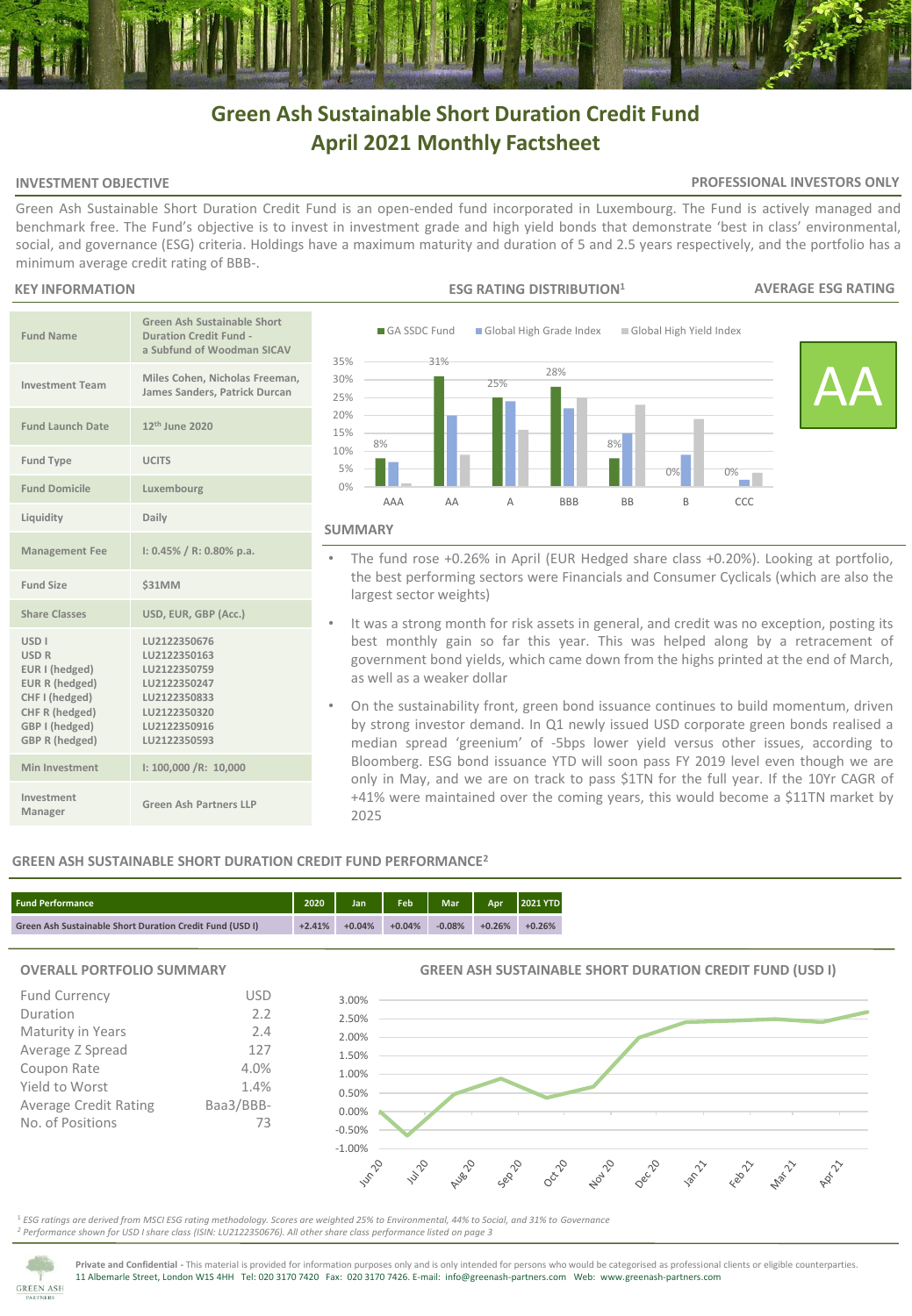# **Green Ash Sustainable Short Duration Credit Fund April 2021 Monthly Factsheet**

#### **INVESTMENT OBJECTIVE**

#### **PROFESSIONAL INVESTORS ONLY**

Green Ash Sustainable Short Duration Credit Fund is an open-ended fund incorporated in Luxembourg. The Fund is actively managed and benchmark free. The Fund's objective is to invest in investment grade and high yield bonds that demonstrate 'best in class' environmental, social, and governance (ESG) criteria. Holdings have a maximum maturity and duration of 5 and 2.5 years respectively, and the portfolio has a minimum average credit rating of BBB-.

#### **KEY INFORMATION**

| <b>Fund Name</b>                                                                                                                                          | <b>Green Ash Sustainable Short</b><br><b>Duration Credit Fund -</b><br>a Subfund of Woodman SICAV                            |
|-----------------------------------------------------------------------------------------------------------------------------------------------------------|------------------------------------------------------------------------------------------------------------------------------|
| <b>Investment Team</b>                                                                                                                                    | Miles Cohen, Nicholas Freeman,<br>James Sanders, Patrick Durcan                                                              |
| <b>Fund Launch Date</b>                                                                                                                                   | 12 <sup>th</sup> June 2020                                                                                                   |
| <b>Fund Type</b>                                                                                                                                          | <b>UCITS</b>                                                                                                                 |
| <b>Fund Domicile</b>                                                                                                                                      | Luxembourg                                                                                                                   |
| Liquidity                                                                                                                                                 | Daily                                                                                                                        |
| <b>Management Fee</b>                                                                                                                                     | $1: 0.45\% / R: 0.80\%$ p.a.                                                                                                 |
| Fund Size                                                                                                                                                 | <b>\$31MM</b>                                                                                                                |
| <b>Share Classes</b>                                                                                                                                      | USD, EUR, GBP (Acc.)                                                                                                         |
| <b>USD<sub>I</sub></b><br><b>USD R</b><br>EUR I (hedged)<br>EUR R (hedged)<br>CHF I (hedged)<br>CHF R (hedged)<br>GBP I (hedged)<br><b>GBP R (hedged)</b> | LU2122350676<br>LU2122350163<br>LU2122350759<br>LU2122350247<br>LU2122350833<br>LU2122350320<br>LU2122350916<br>LU2122350593 |
| Min Investment                                                                                                                                            | I: 100,000 /R: 10,000                                                                                                        |
| Investment<br>Manager                                                                                                                                     | Green Ash Partners LLP                                                                                                       |



## **SUMMARY**

- The fund rose +0.26% in April (EUR Hedged share class +0.20%). Looking at portfolio, the best performing sectors were Financials and Consumer Cyclicals (which are also the largest sector weights)
- It was a strong month for risk assets in general, and credit was no exception, posting its best monthly gain so far this year. This was helped along by a retracement of government bond yields, which came down from the highs printed at the end of March, as well as a weaker dollar
- On the sustainability front, green bond issuance continues to build momentum, driven by strong investor demand. In Q1 newly issued USD corporate green bonds realised a median spread 'greenium' of -5bps lower yield versus other issues, according to Bloomberg. ESG bond issuance YTD will soon pass FY 2019 level even though we are only in May, and we are on track to pass \$1TN for the full year. If the 10Yr CAGR of +41% were maintained over the coming years, this would become a \$11TN market by 2025

# **GREEN ASH SUSTAINABLE SHORT DURATION CREDIT FUND PERFORMANCE<sup>2</sup>**

| l Fund Performance                                              | 2020     | Jan      | Feb      | Mar <sup>'</sup> | <b>Apr</b> | 2021 YTD |
|-----------------------------------------------------------------|----------|----------|----------|------------------|------------|----------|
| <b>Green Ash Sustainable Short Duration Credit Fund (USD I)</b> | $+2.41%$ | $+0.04%$ | $+0.04%$ | $-0.08%$         | $+0.26%$   | $+0.26%$ |

3.00%

### **OVERALL PORTFOLIO SUMMARY**

| <b>Fund Currency</b>         | USD       |
|------------------------------|-----------|
| Duration                     | 2.2       |
| Maturity in Years            | 2.4       |
| Average Z Spread             | 127       |
| Coupon Rate                  | 4.0%      |
| Yield to Worst               | 1.4%      |
| <b>Average Credit Rating</b> | Baa3/BBB- |
| No. of Positions             | 73        |
|                              |           |

**GREEN ASH SUSTAINABLE SHORT DURATION CREDIT FUND (USD I)**



<sup>1</sup> *ESG ratings are derived from MSCI ESG rating methodology. Scores are weighted 25% to Environmental, 44% to Social, and 31% to Governance <sup>2</sup> Performance shown for USD I share class (ISIN: LU2122350676). All other share class performance listed on page 3* 



**Private and Confidential -** This material is provided for information purposes only and is only intended for persons who would be categorised as professional clients or eligible counterparties. 11 Albemarle Street, London W1S 4HH Tel: 020 3170 7420 Fax: 020 3170 7426. E-mail: info@greenash-partners.com Web: www.greenash-partners.com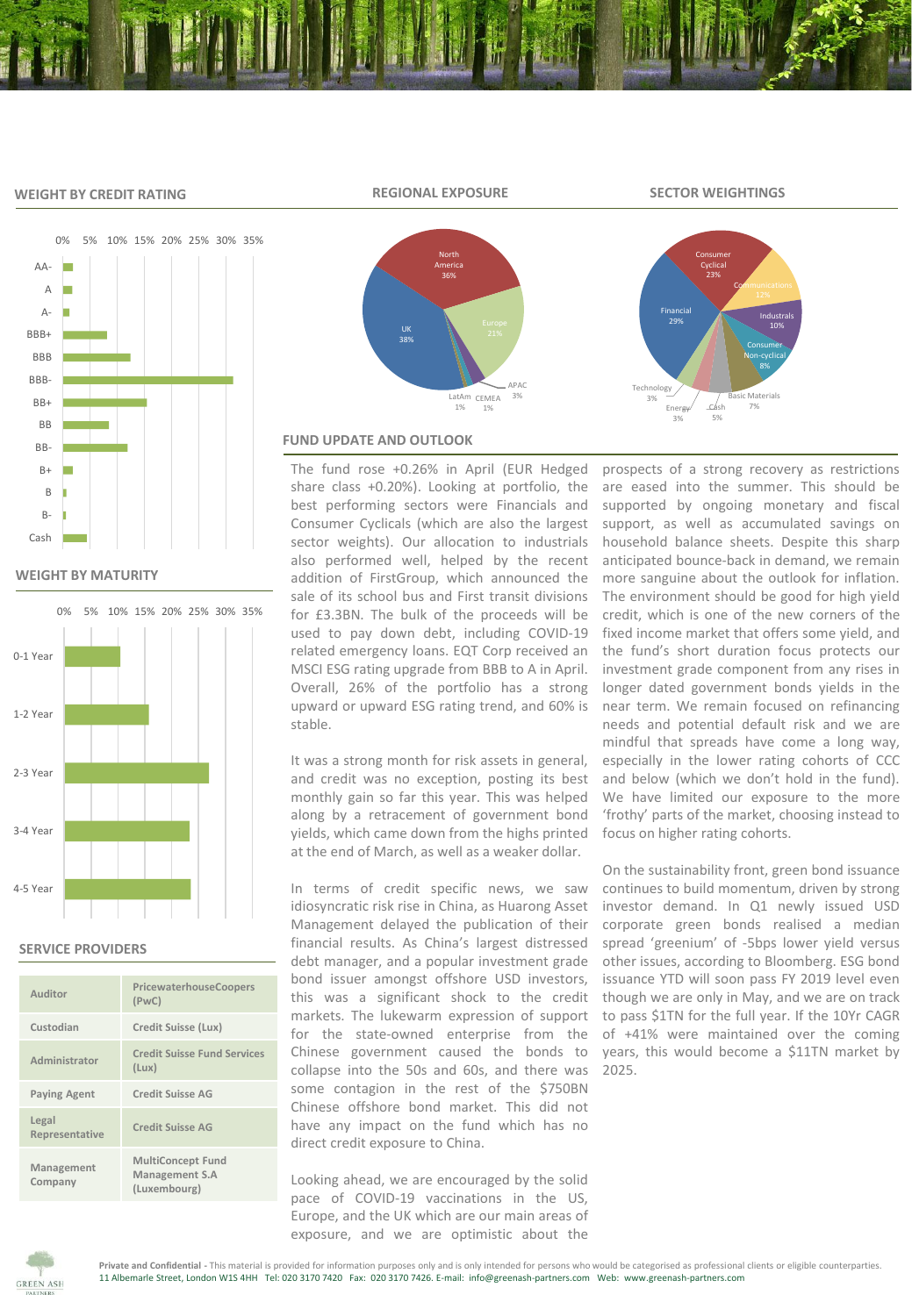## **WEIGHT BY CREDIT RATING**



**WEIGHT BY MATURITY**



#### **SERVICE PROVIDERS**

| Auditor                 | PricewaterhouseCoopers<br>(PWC)                            |
|-------------------------|------------------------------------------------------------|
| Custodian               | Credit Suisse (Lux)                                        |
| Administrator           | <b>Credit Suisse Fund Services</b><br>(Lux)                |
| <b>Paying Agent</b>     | <b>Credit Suisse AG</b>                                    |
| Legal<br>Representative | Credit Suisse AG                                           |
| Management<br>Company   | <b>MultiConcept Fund</b><br>Management S.A<br>(Luxembourg) |





# **FUND UPDATE AND OUTLOOK**

The fund rose +0.26% in April (EUR Hedged share class +0.20%). Looking at portfolio, the best performing sectors were Financials and Consumer Cyclicals (which are also the largest sector weights). Our allocation to industrials also performed well, helped by the recent addition of FirstGroup, which announced the sale of its school bus and First transit divisions for £3.3BN. The bulk of the proceeds will be used to pay down debt, including COVID-19 related emergency loans. EQT Corp received an MSCI ESG rating upgrade from BBB to A in April. Overall, 26% of the portfolio has a strong upward or upward ESG rating trend, and 60% is stable.

It was a strong month for risk assets in general, and credit was no exception, posting its best monthly gain so far this year. This was helped along by a retracement of government bond yields, which came down from the highs printed at the end of March, as well as a weaker dollar.

In terms of credit specific news, we saw idiosyncratic risk rise in China, as Huarong Asset Management delayed the publication of their financial results. As China's largest distressed debt manager, and a popular investment grade bond issuer amongst offshore USD investors, this was a significant shock to the credit markets. The lukewarm expression of support for the state-owned enterprise from the Chinese government caused the bonds to collapse into the 50s and 60s, and there was some contagion in the rest of the \$750BN Chinese offshore bond market. This did not have any impact on the fund which has no direct credit exposure to China.

Looking ahead, we are encouraged by the solid pace of COVID-19 vaccinations in the US, Europe, and the UK which are our main areas of exposure, and we are optimistic about the

prospects of a strong recovery as restrictions are eased into the summer. This should be supported by ongoing monetary and fiscal support, as well as accumulated savings on household balance sheets. Despite this sharp anticipated bounce-back in demand, we remain more sanguine about the outlook for inflation. The environment should be good for high yield credit, which is one of the new corners of the fixed income market that offers some yield, and the fund's short duration focus protects our investment grade component from any rises in longer dated government bonds yields in the near term. We remain focused on refinancing needs and potential default risk and we are mindful that spreads have come a long way, especially in the lower rating cohorts of CCC and below (which we don't hold in the fund). We have limited our exposure to the more 'frothy' parts of the market, choosing instead to focus on higher rating cohorts.

On the sustainability front, green bond issuance continues to build momentum, driven by strong investor demand. In Q1 newly issued USD corporate green bonds realised a median spread 'greenium' of -5bps lower yield versus other issues, according to Bloomberg. ESG bond issuance YTD will soon pass FY 2019 level even though we are only in May, and we are on track to pass \$1TN for the full year. If the 10Yr CAGR of +41% were maintained over the coming years, this would become a \$11TN market by 2025.



**REGIONAL EXPOSURE SECTOR WEIGHTINGS**